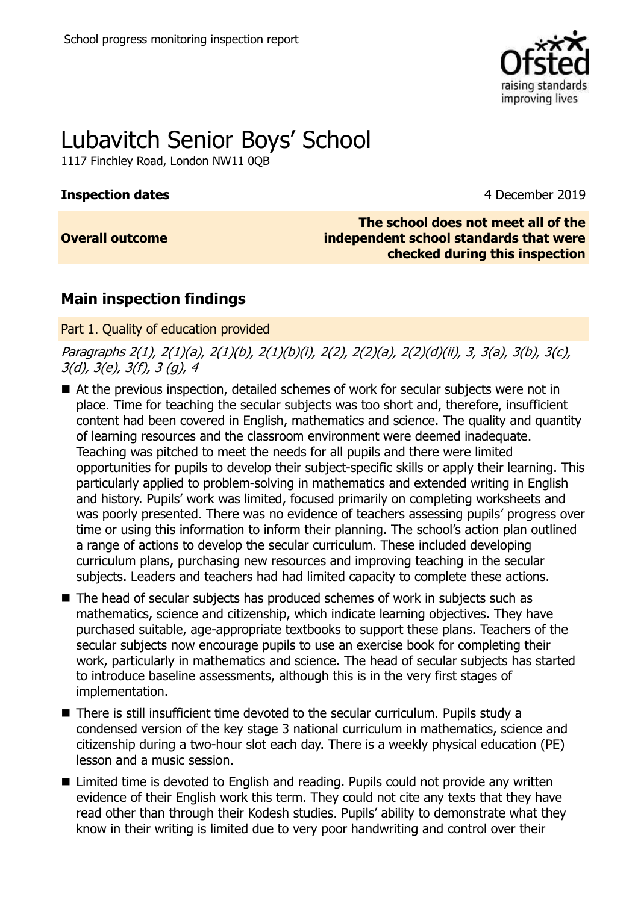

# Lubavitch Senior Boys' School

1117 Finchley Road, London NW11 0QB

# **Inspection dates** 4 December 2019

# **Overall outcome**

**The school does not meet all of the independent school standards that were checked during this inspection**

# **Main inspection findings**

Part 1. Quality of education provided

Paragraphs 2(1), 2(1)(a), 2(1)(b), 2(1)(b)(i), 2(2), 2(2)(a), 2(2)(d)(ii), 3, 3(a), 3(b), 3(c), 3(d), 3(e), 3(f), 3 (g), 4

- At the previous inspection, detailed schemes of work for secular subjects were not in place. Time for teaching the secular subjects was too short and, therefore, insufficient content had been covered in English, mathematics and science. The quality and quantity of learning resources and the classroom environment were deemed inadequate. Teaching was pitched to meet the needs for all pupils and there were limited opportunities for pupils to develop their subject-specific skills or apply their learning. This particularly applied to problem-solving in mathematics and extended writing in English and history. Pupils' work was limited, focused primarily on completing worksheets and was poorly presented. There was no evidence of teachers assessing pupils' progress over time or using this information to inform their planning. The school's action plan outlined a range of actions to develop the secular curriculum. These included developing curriculum plans, purchasing new resources and improving teaching in the secular subjects. Leaders and teachers had had limited capacity to complete these actions.
- The head of secular subjects has produced schemes of work in subjects such as mathematics, science and citizenship, which indicate learning objectives. They have purchased suitable, age-appropriate textbooks to support these plans. Teachers of the secular subjects now encourage pupils to use an exercise book for completing their work, particularly in mathematics and science. The head of secular subjects has started to introduce baseline assessments, although this is in the very first stages of implementation.
- There is still insufficient time devoted to the secular curriculum. Pupils study a condensed version of the key stage 3 national curriculum in mathematics, science and citizenship during a two-hour slot each day. There is a weekly physical education (PE) lesson and a music session.
- Limited time is devoted to English and reading. Pupils could not provide any written evidence of their English work this term. They could not cite any texts that they have read other than through their Kodesh studies. Pupils' ability to demonstrate what they know in their writing is limited due to very poor handwriting and control over their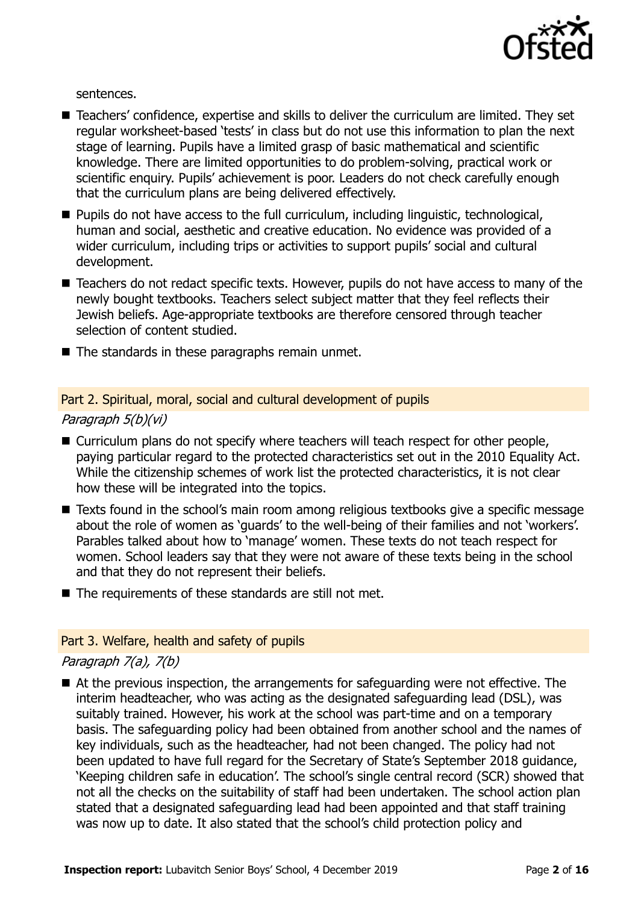

sentences.

- Teachers' confidence, expertise and skills to deliver the curriculum are limited. They set regular worksheet-based 'tests' in class but do not use this information to plan the next stage of learning. Pupils have a limited grasp of basic mathematical and scientific knowledge. There are limited opportunities to do problem-solving, practical work or scientific enquiry. Pupils' achievement is poor. Leaders do not check carefully enough that the curriculum plans are being delivered effectively.
- $\blacksquare$  Pupils do not have access to the full curriculum, including linguistic, technological, human and social, aesthetic and creative education. No evidence was provided of a wider curriculum, including trips or activities to support pupils' social and cultural development.
- Teachers do not redact specific texts. However, pupils do not have access to many of the newly bought textbooks. Teachers select subject matter that they feel reflects their Jewish beliefs. Age-appropriate textbooks are therefore censored through teacher selection of content studied.
- The standards in these paragraphs remain unmet.

#### Part 2. Spiritual, moral, social and cultural development of pupils

#### Paragraph 5(b)(vi)

- Curriculum plans do not specify where teachers will teach respect for other people, paying particular regard to the protected characteristics set out in the 2010 Equality Act. While the citizenship schemes of work list the protected characteristics, it is not clear how these will be integrated into the topics.
- Texts found in the school's main room among religious textbooks give a specific message about the role of women as 'guards' to the well-being of their families and not 'workers'. Parables talked about how to 'manage' women. These texts do not teach respect for women. School leaders say that they were not aware of these texts being in the school and that they do not represent their beliefs.
- $\blacksquare$  The requirements of these standards are still not met.

#### Part 3. Welfare, health and safety of pupils

#### Paragraph 7(a), 7(b)

■ At the previous inspection, the arrangements for safeguarding were not effective. The interim headteacher, who was acting as the designated safeguarding lead (DSL), was suitably trained. However, his work at the school was part-time and on a temporary basis. The safeguarding policy had been obtained from another school and the names of key individuals, such as the headteacher, had not been changed. The policy had not been updated to have full regard for the Secretary of State's September 2018 guidance, 'Keeping children safe in education'. The school's single central record (SCR) showed that not all the checks on the suitability of staff had been undertaken. The school action plan stated that a designated safeguarding lead had been appointed and that staff training was now up to date. It also stated that the school's child protection policy and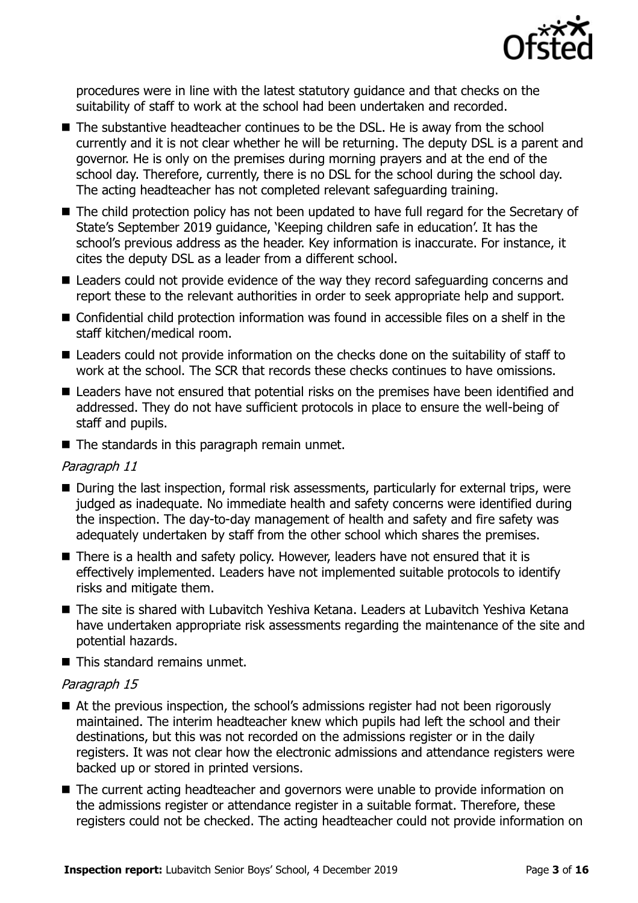

procedures were in line with the latest statutory guidance and that checks on the suitability of staff to work at the school had been undertaken and recorded.

- The substantive headteacher continues to be the DSL. He is away from the school currently and it is not clear whether he will be returning. The deputy DSL is a parent and governor. He is only on the premises during morning prayers and at the end of the school day. Therefore, currently, there is no DSL for the school during the school day. The acting headteacher has not completed relevant safeguarding training.
- The child protection policy has not been updated to have full regard for the Secretary of State's September 2019 guidance, 'Keeping children safe in education'. It has the school's previous address as the header. Key information is inaccurate. For instance, it cites the deputy DSL as a leader from a different school.
- Leaders could not provide evidence of the way they record safeguarding concerns and report these to the relevant authorities in order to seek appropriate help and support.
- Confidential child protection information was found in accessible files on a shelf in the staff kitchen/medical room.
- Leaders could not provide information on the checks done on the suitability of staff to work at the school. The SCR that records these checks continues to have omissions.
- Leaders have not ensured that potential risks on the premises have been identified and addressed. They do not have sufficient protocols in place to ensure the well-being of staff and pupils.
- $\blacksquare$  The standards in this paragraph remain unmet.

### Paragraph 11

- During the last inspection, formal risk assessments, particularly for external trips, were judged as inadequate. No immediate health and safety concerns were identified during the inspection. The day-to-day management of health and safety and fire safety was adequately undertaken by staff from the other school which shares the premises.
- There is a health and safety policy. However, leaders have not ensured that it is effectively implemented. Leaders have not implemented suitable protocols to identify risks and mitigate them.
- The site is shared with Lubavitch Yeshiva Ketana. Leaders at Lubavitch Yeshiva Ketana have undertaken appropriate risk assessments regarding the maintenance of the site and potential hazards.
- This standard remains unmet.

# Paragraph 15

- At the previous inspection, the school's admissions register had not been rigorously maintained. The interim headteacher knew which pupils had left the school and their destinations, but this was not recorded on the admissions register or in the daily registers. It was not clear how the electronic admissions and attendance registers were backed up or stored in printed versions.
- The current acting headteacher and governors were unable to provide information on the admissions register or attendance register in a suitable format. Therefore, these registers could not be checked. The acting headteacher could not provide information on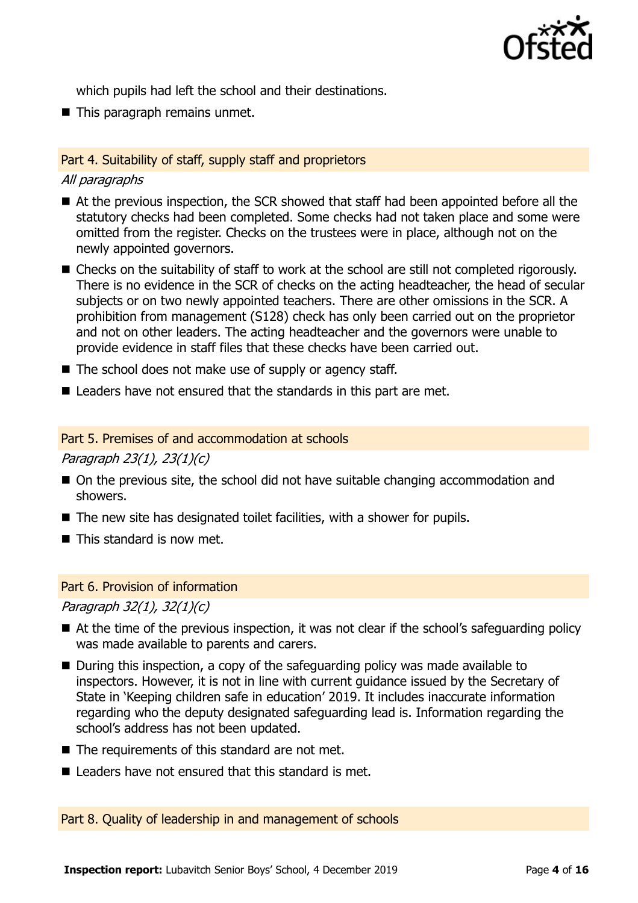

which pupils had left the school and their destinations.

■ This paragraph remains unmet.

### Part 4. Suitability of staff, supply staff and proprietors

### All paragraphs

- At the previous inspection, the SCR showed that staff had been appointed before all the statutory checks had been completed. Some checks had not taken place and some were omitted from the register. Checks on the trustees were in place, although not on the newly appointed governors.
- Checks on the suitability of staff to work at the school are still not completed rigorously. There is no evidence in the SCR of checks on the acting headteacher, the head of secular subjects or on two newly appointed teachers. There are other omissions in the SCR. A prohibition from management (S128) check has only been carried out on the proprietor and not on other leaders. The acting headteacher and the governors were unable to provide evidence in staff files that these checks have been carried out.
- $\blacksquare$  The school does not make use of supply or agency staff.
- Leaders have not ensured that the standards in this part are met.

### Part 5. Premises of and accommodation at schools

Paragraph 23(1), 23(1)(c)

- On the previous site, the school did not have suitable changing accommodation and showers.
- $\blacksquare$  The new site has designated toilet facilities, with a shower for pupils.
- $\blacksquare$  This standard is now met.

### Part 6. Provision of information

Paragraph 32(1), 32(1)(c)

- At the time of the previous inspection, it was not clear if the school's safeguarding policy was made available to parents and carers.
- During this inspection, a copy of the safeguarding policy was made available to inspectors. However, it is not in line with current guidance issued by the Secretary of State in 'Keeping children safe in education' 2019. It includes inaccurate information regarding who the deputy designated safeguarding lead is. Information regarding the school's address has not been updated.
- $\blacksquare$  The requirements of this standard are not met.
- $\blacksquare$  Leaders have not ensured that this standard is met.

Part 8. Quality of leadership in and management of schools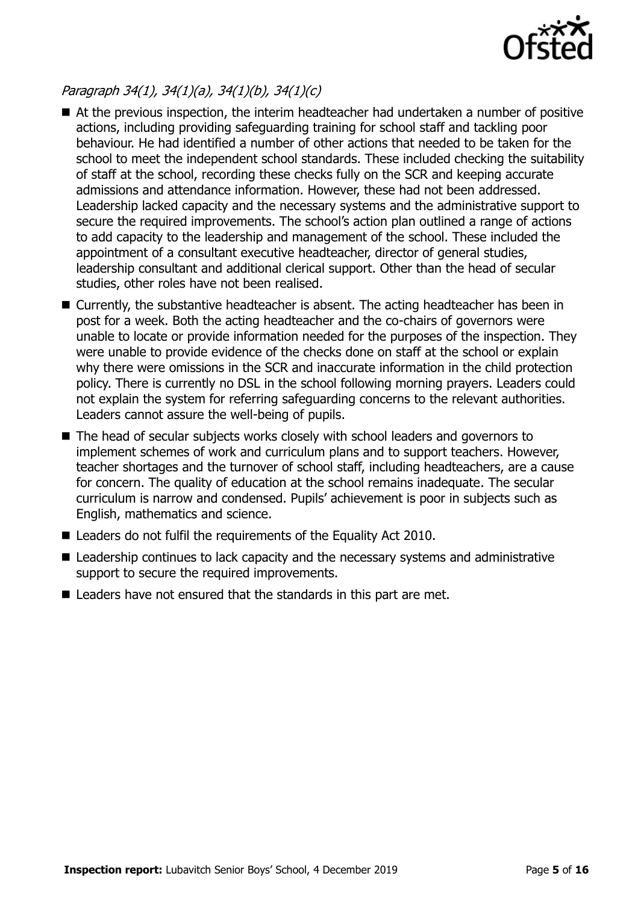

# Paragraph 34(1), 34(1)(a), 34(1)(b), 34(1)(c)

- At the previous inspection, the interim headteacher had undertaken a number of positive actions, including providing safeguarding training for school staff and tackling poor behaviour. He had identified a number of other actions that needed to be taken for the school to meet the independent school standards. These included checking the suitability of staff at the school, recording these checks fully on the SCR and keeping accurate admissions and attendance information. However, these had not been addressed. Leadership lacked capacity and the necessary systems and the administrative support to secure the required improvements. The school's action plan outlined a range of actions to add capacity to the leadership and management of the school. These included the appointment of a consultant executive headteacher, director of general studies, leadership consultant and additional clerical support. Other than the head of secular studies, other roles have not been realised.
- Currently, the substantive headteacher is absent. The acting headteacher has been in post for a week. Both the acting headteacher and the co-chairs of governors were unable to locate or provide information needed for the purposes of the inspection. They were unable to provide evidence of the checks done on staff at the school or explain why there were omissions in the SCR and inaccurate information in the child protection policy. There is currently no DSL in the school following morning prayers. Leaders could not explain the system for referring safeguarding concerns to the relevant authorities. Leaders cannot assure the well-being of pupils.
- The head of secular subjects works closely with school leaders and governors to implement schemes of work and curriculum plans and to support teachers. However, teacher shortages and the turnover of school staff, including headteachers, are a cause for concern. The quality of education at the school remains inadequate. The secular curriculum is narrow and condensed. Pupils' achievement is poor in subjects such as English, mathematics and science.
- Leaders do not fulfil the requirements of the Equality Act 2010.
- Leadership continues to lack capacity and the necessary systems and administrative support to secure the required improvements.
- Leaders have not ensured that the standards in this part are met.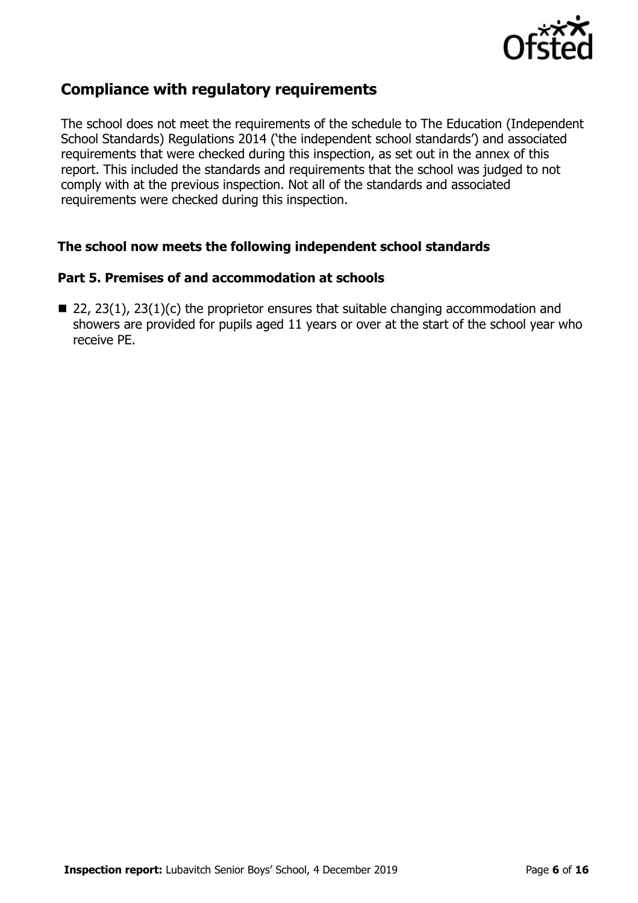

# **Compliance with regulatory requirements**

The school does not meet the requirements of the schedule to The Education (Independent School Standards) Regulations 2014 ('the independent school standards') and associated requirements that were checked during this inspection, as set out in the annex of this report. This included the standards and requirements that the school was judged to not comply with at the previous inspection. Not all of the standards and associated requirements were checked during this inspection.

### **The school now meets the following independent school standards**

# **Part 5. Premises of and accommodation at schools**

 $\blacksquare$  22, 23(1), 23(1)(c) the proprietor ensures that suitable changing accommodation and showers are provided for pupils aged 11 years or over at the start of the school year who receive PE.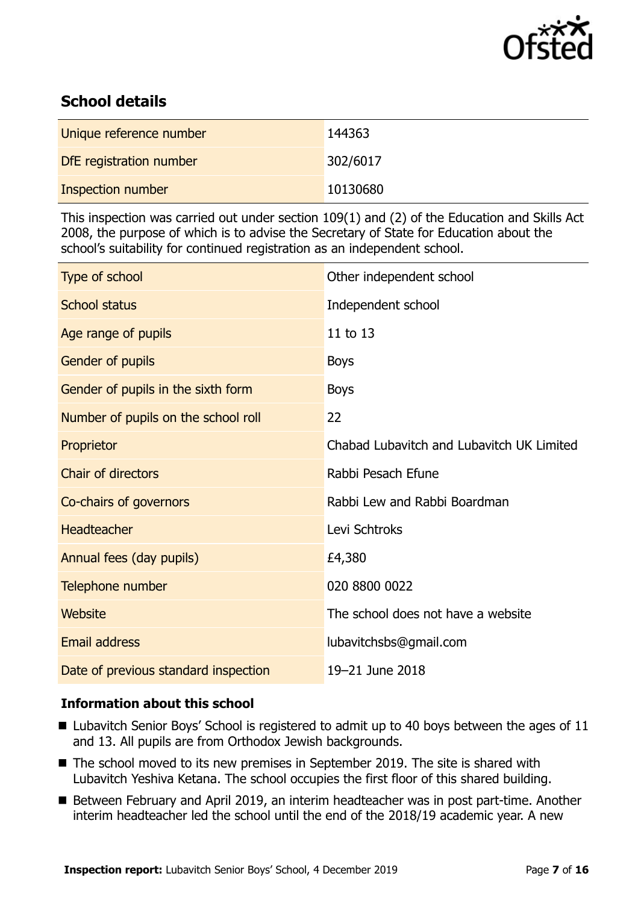

# **School details**

| Unique reference number | 144363   |
|-------------------------|----------|
| DfE registration number | 302/6017 |
| Inspection number       | 10130680 |

This inspection was carried out under section 109(1) and (2) of the Education and Skills Act 2008, the purpose of which is to advise the Secretary of State for Education about the school's suitability for continued registration as an independent school.

| Type of school                       | Other independent school                  |
|--------------------------------------|-------------------------------------------|
| <b>School status</b>                 | Independent school                        |
| Age range of pupils                  | 11 to 13                                  |
| Gender of pupils                     | <b>Boys</b>                               |
| Gender of pupils in the sixth form   | <b>Boys</b>                               |
| Number of pupils on the school roll  | 22                                        |
| Proprietor                           | Chabad Lubavitch and Lubavitch UK Limited |
| <b>Chair of directors</b>            | Rabbi Pesach Efune                        |
| Co-chairs of governors               | Rabbi Lew and Rabbi Boardman              |
| <b>Headteacher</b>                   | Levi Schtroks                             |
| Annual fees (day pupils)             | £4,380                                    |
| Telephone number                     | 020 8800 0022                             |
| Website                              | The school does not have a website        |
| <b>Email address</b>                 | lubavitchsbs@gmail.com                    |
| Date of previous standard inspection | 19-21 June 2018                           |

# **Information about this school**

- Lubavitch Senior Boys' School is registered to admit up to 40 boys between the ages of 11 and 13. All pupils are from Orthodox Jewish backgrounds.
- The school moved to its new premises in September 2019. The site is shared with Lubavitch Yeshiva Ketana. The school occupies the first floor of this shared building.
- Between February and April 2019, an interim headteacher was in post part-time. Another interim headteacher led the school until the end of the 2018/19 academic year. A new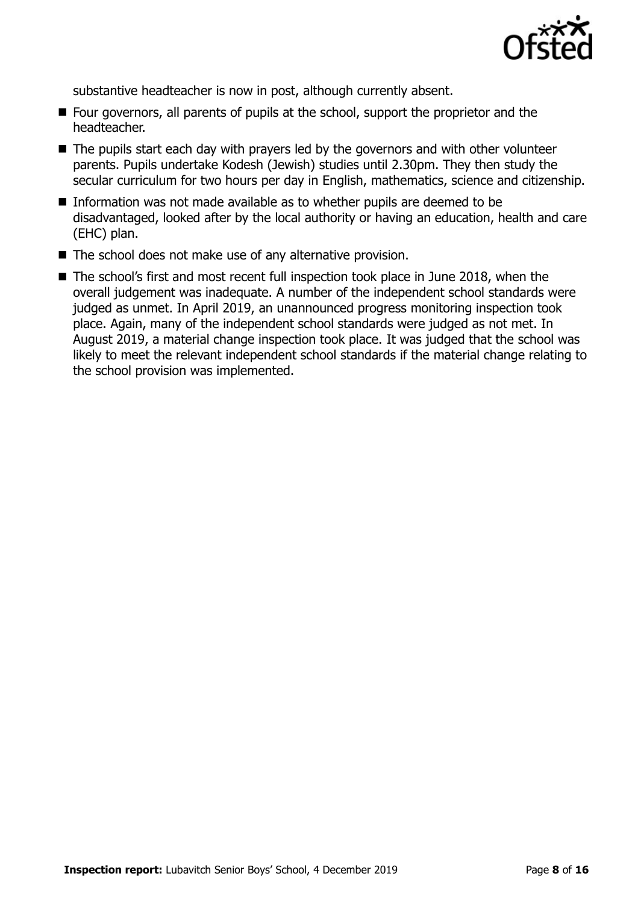

substantive headteacher is now in post, although currently absent.

- Four governors, all parents of pupils at the school, support the proprietor and the headteacher.
- The pupils start each day with prayers led by the governors and with other volunteer parents. Pupils undertake Kodesh (Jewish) studies until 2.30pm. They then study the secular curriculum for two hours per day in English, mathematics, science and citizenship.
- Information was not made available as to whether pupils are deemed to be disadvantaged, looked after by the local authority or having an education, health and care (EHC) plan.
- The school does not make use of any alternative provision.
- The school's first and most recent full inspection took place in June 2018, when the overall judgement was inadequate. A number of the independent school standards were judged as unmet. In April 2019, an unannounced progress monitoring inspection took place. Again, many of the independent school standards were judged as not met. In August 2019, a material change inspection took place. It was judged that the school was likely to meet the relevant independent school standards if the material change relating to the school provision was implemented.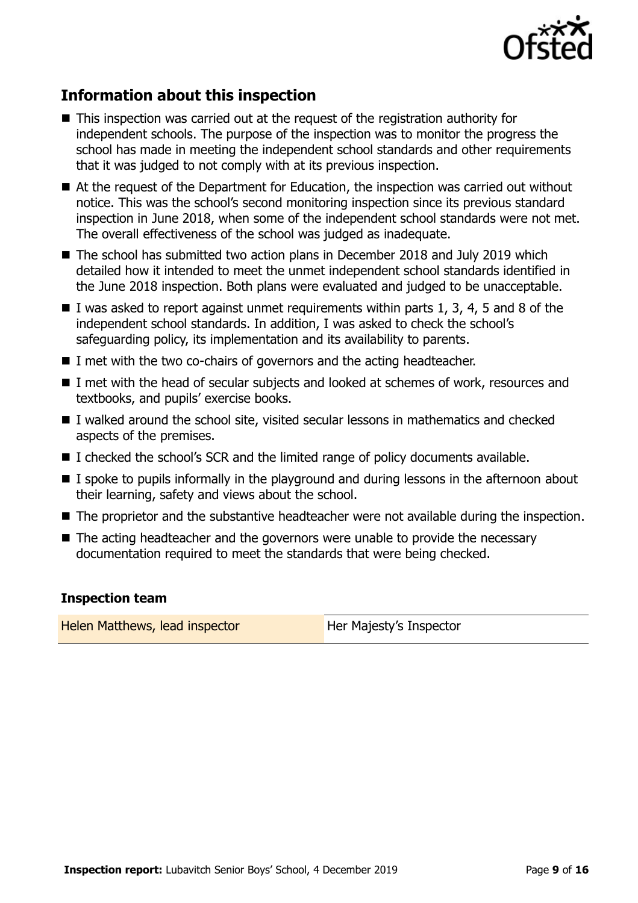

# **Information about this inspection**

- This inspection was carried out at the request of the registration authority for independent schools. The purpose of the inspection was to monitor the progress the school has made in meeting the independent school standards and other requirements that it was judged to not comply with at its previous inspection.
- At the request of the Department for Education, the inspection was carried out without notice. This was the school's second monitoring inspection since its previous standard inspection in June 2018, when some of the independent school standards were not met. The overall effectiveness of the school was judged as inadequate.
- The school has submitted two action plans in December 2018 and July 2019 which detailed how it intended to meet the unmet independent school standards identified in the June 2018 inspection. Both plans were evaluated and judged to be unacceptable.
- I was asked to report against unmet requirements within parts 1, 3, 4, 5 and 8 of the independent school standards. In addition, I was asked to check the school's safeguarding policy, its implementation and its availability to parents.
- I met with the two co-chairs of governors and the acting headteacher.
- I met with the head of secular subjects and looked at schemes of work, resources and textbooks, and pupils' exercise books.
- I walked around the school site, visited secular lessons in mathematics and checked aspects of the premises.
- $\blacksquare$  I checked the school's SCR and the limited range of policy documents available.
- I spoke to pupils informally in the playground and during lessons in the afternoon about their learning, safety and views about the school.
- The proprietor and the substantive headteacher were not available during the inspection.
- The acting headteacher and the governors were unable to provide the necessary documentation required to meet the standards that were being checked.

### **Inspection team**

Helen Matthews, lead inspector **Her Majesty's Inspector**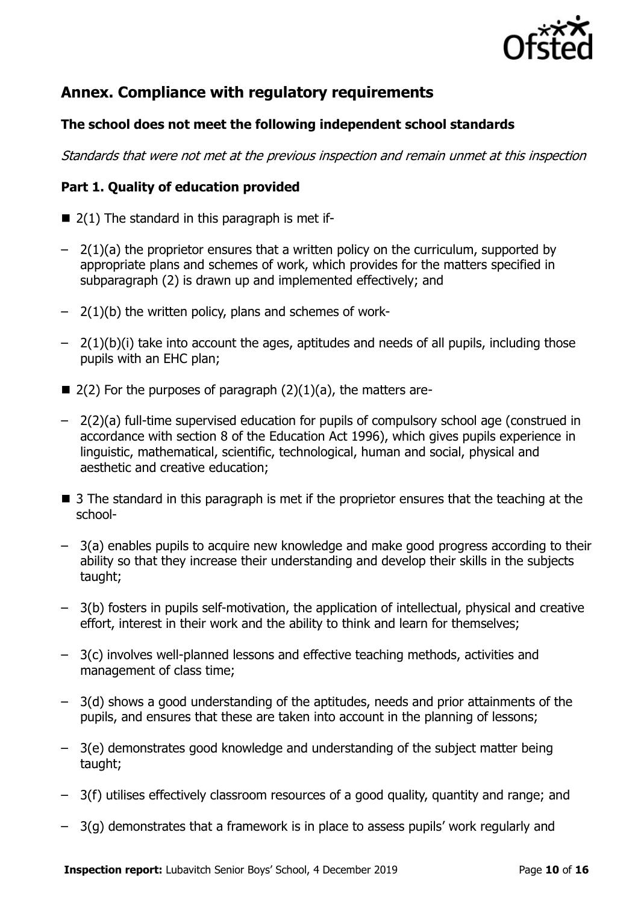

# **Annex. Compliance with regulatory requirements**

# **The school does not meet the following independent school standards**

Standards that were not met at the previous inspection and remain unmet at this inspection

# **Part 1. Quality of education provided**

- $\blacksquare$  2(1) The standard in this paragraph is met if-
- $-$  2(1)(a) the proprietor ensures that a written policy on the curriculum, supported by appropriate plans and schemes of work, which provides for the matters specified in subparagraph (2) is drawn up and implemented effectively; and
- $-$  2(1)(b) the written policy, plans and schemes of work-
- $-$  2(1)(b)(i) take into account the ages, aptitudes and needs of all pupils, including those pupils with an EHC plan;
- $\blacksquare$  2(2) For the purposes of paragraph (2)(1)(a), the matters are-
- 2(2)(a) full-time supervised education for pupils of compulsory school age (construed in accordance with section 8 of the Education Act 1996), which gives pupils experience in linguistic, mathematical, scientific, technological, human and social, physical and aesthetic and creative education;
- 3 The standard in this paragraph is met if the proprietor ensures that the teaching at the school-
- 3(a) enables pupils to acquire new knowledge and make good progress according to their ability so that they increase their understanding and develop their skills in the subjects taught;
- 3(b) fosters in pupils self-motivation, the application of intellectual, physical and creative effort, interest in their work and the ability to think and learn for themselves;
- 3(c) involves well-planned lessons and effective teaching methods, activities and management of class time;
- 3(d) shows a good understanding of the aptitudes, needs and prior attainments of the pupils, and ensures that these are taken into account in the planning of lessons;
- 3(e) demonstrates good knowledge and understanding of the subject matter being taught;
- 3(f) utilises effectively classroom resources of a good quality, quantity and range; and
- 3(g) demonstrates that a framework is in place to assess pupils' work regularly and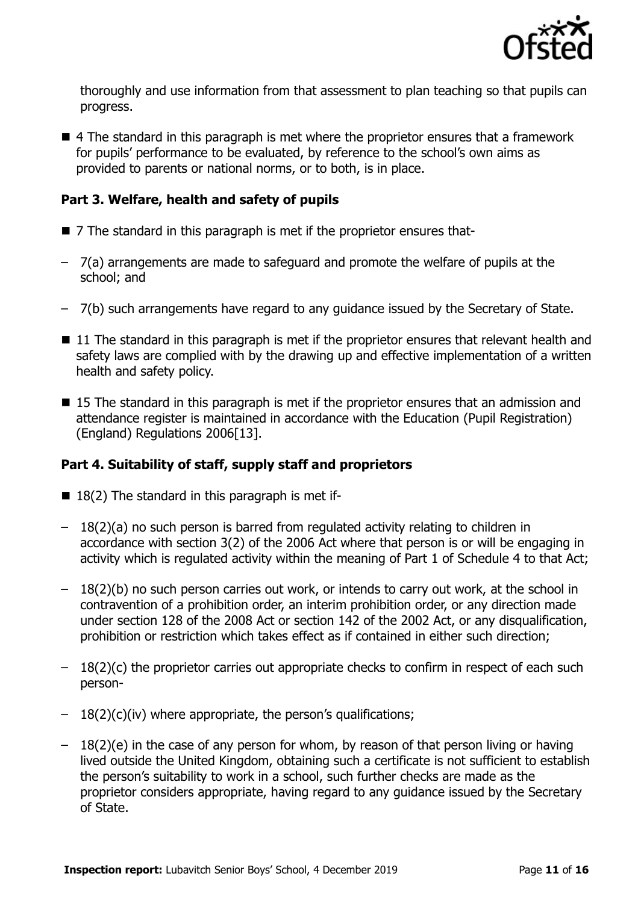

thoroughly and use information from that assessment to plan teaching so that pupils can progress.

■ 4 The standard in this paragraph is met where the proprietor ensures that a framework for pupils' performance to be evaluated, by reference to the school's own aims as provided to parents or national norms, or to both, is in place.

# **Part 3. Welfare, health and safety of pupils**

- 7 The standard in this paragraph is met if the proprietor ensures that-
- 7(a) arrangements are made to safeguard and promote the welfare of pupils at the school; and
- 7(b) such arrangements have regard to any guidance issued by the Secretary of State.
- $\blacksquare$  11 The standard in this paragraph is met if the proprietor ensures that relevant health and safety laws are complied with by the drawing up and effective implementation of a written health and safety policy.
- 15 The standard in this paragraph is met if the proprietor ensures that an admission and attendance register is maintained in accordance with the Education (Pupil Registration) (England) Regulations 2006[13].

# **Part 4. Suitability of staff, supply staff and proprietors**

- $\blacksquare$  18(2) The standard in this paragraph is met if-
- 18(2)(a) no such person is barred from regulated activity relating to children in accordance with section 3(2) of the 2006 Act where that person is or will be engaging in activity which is regulated activity within the meaning of Part 1 of Schedule 4 to that Act;
- 18(2)(b) no such person carries out work, or intends to carry out work, at the school in contravention of a prohibition order, an interim prohibition order, or any direction made under section 128 of the 2008 Act or section 142 of the 2002 Act, or any disqualification, prohibition or restriction which takes effect as if contained in either such direction;
- $-18(2)(c)$  the proprietor carries out appropriate checks to confirm in respect of each such person-
- $-18(2)(c)(iv)$  where appropriate, the person's qualifications;
- 18(2)(e) in the case of any person for whom, by reason of that person living or having lived outside the United Kingdom, obtaining such a certificate is not sufficient to establish the person's suitability to work in a school, such further checks are made as the proprietor considers appropriate, having regard to any guidance issued by the Secretary of State.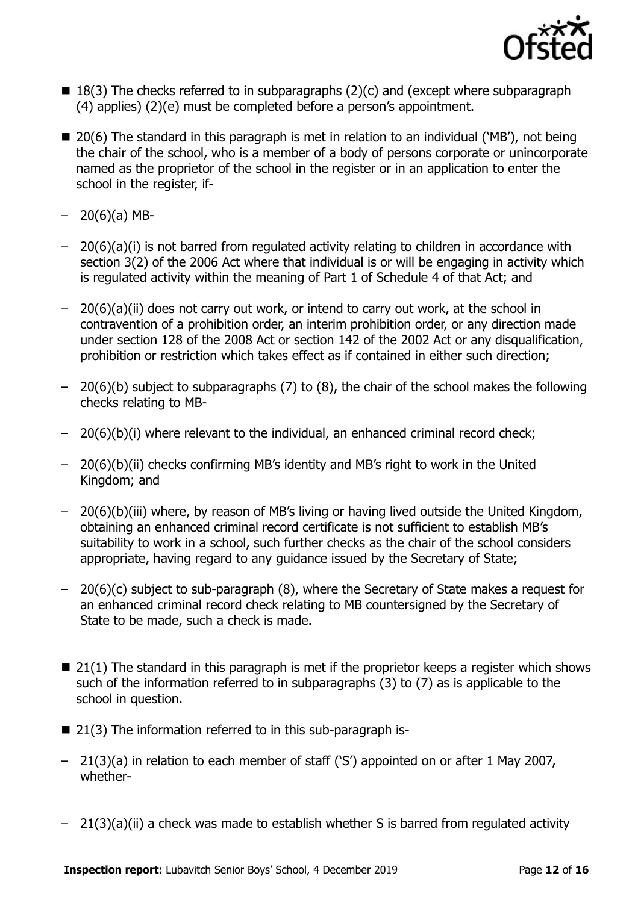

- $\blacksquare$  18(3) The checks referred to in subparagraphs (2)(c) and (except where subparagraph (4) applies) (2)(e) must be completed before a person's appointment.
- 20(6) The standard in this paragraph is met in relation to an individual ('MB'), not being the chair of the school, who is a member of a body of persons corporate or unincorporate named as the proprietor of the school in the register or in an application to enter the school in the register, if-
- $-20(6)(a)$  MB-
- 20(6)(a)(i) is not barred from regulated activity relating to children in accordance with section 3(2) of the 2006 Act where that individual is or will be engaging in activity which is regulated activity within the meaning of Part 1 of Schedule 4 of that Act; and
- 20(6)(a)(ii) does not carry out work, or intend to carry out work, at the school in contravention of a prohibition order, an interim prohibition order, or any direction made under section 128 of the 2008 Act or section 142 of the 2002 Act or any disqualification, prohibition or restriction which takes effect as if contained in either such direction;
- 20(6)(b) subject to subparagraphs (7) to (8), the chair of the school makes the following checks relating to MB-
- 20(6)(b)(i) where relevant to the individual, an enhanced criminal record check;
- 20(6)(b)(ii) checks confirming MB's identity and MB's right to work in the United Kingdom; and
- 20(6)(b)(iii) where, by reason of MB's living or having lived outside the United Kingdom, obtaining an enhanced criminal record certificate is not sufficient to establish MB's suitability to work in a school, such further checks as the chair of the school considers appropriate, having regard to any guidance issued by the Secretary of State;
- 20(6)(c) subject to sub-paragraph (8), where the Secretary of State makes a request for an enhanced criminal record check relating to MB countersigned by the Secretary of State to be made, such a check is made.
- $\blacksquare$  21(1) The standard in this paragraph is met if the proprietor keeps a register which shows such of the information referred to in subparagraphs (3) to (7) as is applicable to the school in question.
- 21(3) The information referred to in this sub-paragraph is-
- 21(3)(a) in relation to each member of staff ('S') appointed on or after 1 May 2007, whether-
- 21(3)(a)(ii) a check was made to establish whether S is barred from regulated activity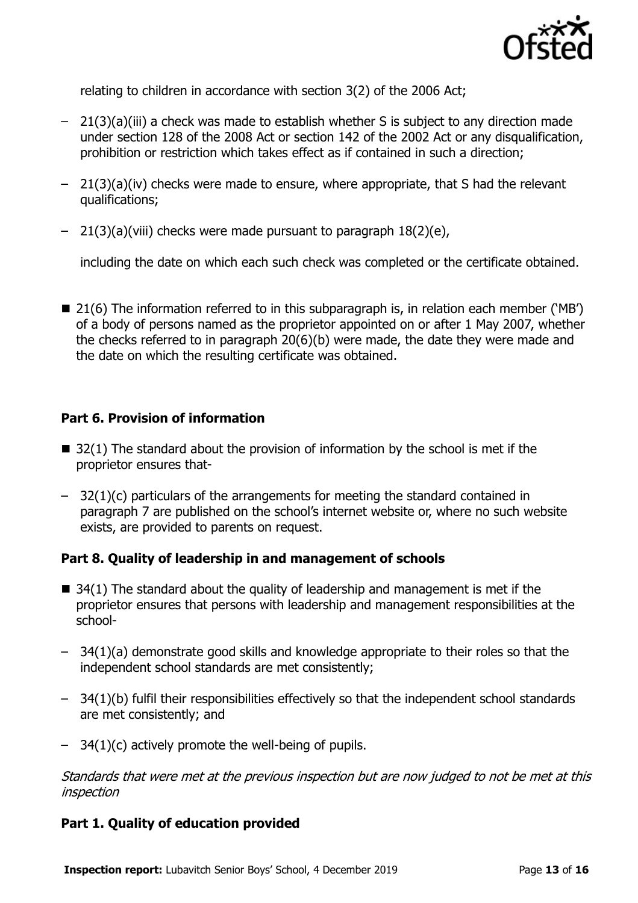

relating to children in accordance with section 3(2) of the 2006 Act;

- 21(3)(a)(iii) a check was made to establish whether S is subject to any direction made under section 128 of the 2008 Act or section 142 of the 2002 Act or any disqualification, prohibition or restriction which takes effect as if contained in such a direction;
- 21(3)(a)(iv) checks were made to ensure, where appropriate, that S had the relevant qualifications;
- 21(3)(a)(viii) checks were made pursuant to paragraph 18(2)(e),

including the date on which each such check was completed or the certificate obtained.

■ 21(6) The information referred to in this subparagraph is, in relation each member ('MB') of a body of persons named as the proprietor appointed on or after 1 May 2007, whether the checks referred to in paragraph 20(6)(b) were made, the date they were made and the date on which the resulting certificate was obtained.

# **Part 6. Provision of information**

- $\blacksquare$  32(1) The standard about the provision of information by the school is met if the proprietor ensures that-
- 32(1)(c) particulars of the arrangements for meeting the standard contained in paragraph 7 are published on the school's internet website or, where no such website exists, are provided to parents on request.

# **Part 8. Quality of leadership in and management of schools**

- $\blacksquare$  34(1) The standard about the quality of leadership and management is met if the proprietor ensures that persons with leadership and management responsibilities at the school-
- 34(1)(a) demonstrate good skills and knowledge appropriate to their roles so that the independent school standards are met consistently;
- 34(1)(b) fulfil their responsibilities effectively so that the independent school standards are met consistently; and
- 34(1)(c) actively promote the well-being of pupils.

Standards that were met at the previous inspection but are now judged to not be met at this inspection

# **Part 1. Quality of education provided**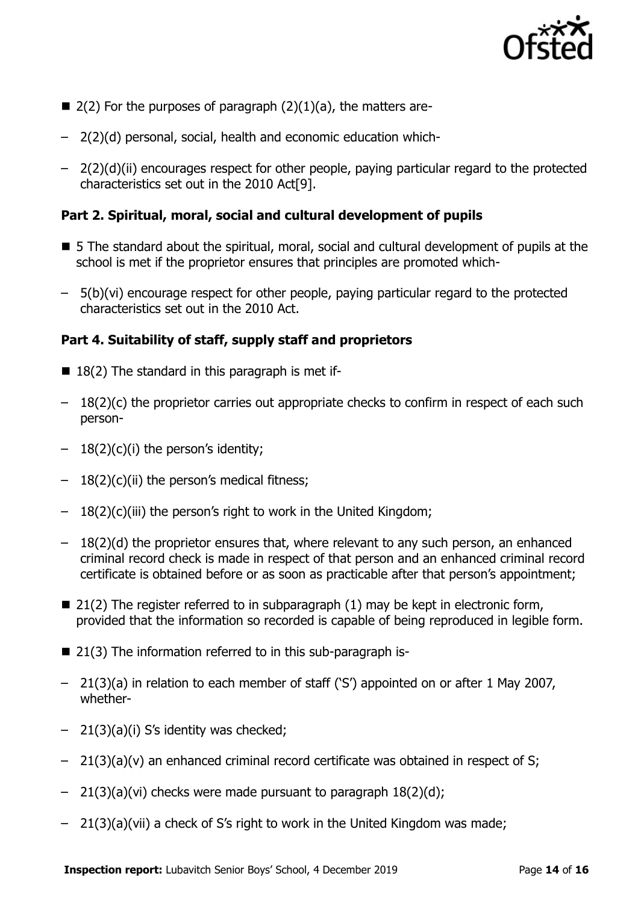

- $\blacksquare$  2(2) For the purposes of paragraph (2)(1)(a), the matters are-
- 2(2)(d) personal, social, health and economic education which-
- 2(2)(d)(ii) encourages respect for other people, paying particular regard to the protected characteristics set out in the 2010 Act[9].

# **Part 2. Spiritual, moral, social and cultural development of pupils**

- 5 The standard about the spiritual, moral, social and cultural development of pupils at the school is met if the proprietor ensures that principles are promoted which-
- 5(b)(vi) encourage respect for other people, paying particular regard to the protected characteristics set out in the 2010 Act.

# **Part 4. Suitability of staff, supply staff and proprietors**

- $18(2)$  The standard in this paragraph is met if-
- $-18(2)(c)$  the proprietor carries out appropriate checks to confirm in respect of each such person-
- $-18(2)(c)(i)$  the person's identity;
- $-18(2)(c)(ii)$  the person's medical fitness;
- 18(2)(c)(iii) the person's right to work in the United Kingdom;
- 18(2)(d) the proprietor ensures that, where relevant to any such person, an enhanced criminal record check is made in respect of that person and an enhanced criminal record certificate is obtained before or as soon as practicable after that person's appointment;
- $\blacksquare$  21(2) The register referred to in subparagraph (1) may be kept in electronic form, provided that the information so recorded is capable of being reproduced in legible form.
- 21(3) The information referred to in this sub-paragraph is-
- 21(3)(a) in relation to each member of staff ('S') appointed on or after 1 May 2007, whether-
- 21(3)(a)(i) S's identity was checked;
- $-$  21(3)(a)(v) an enhanced criminal record certificate was obtained in respect of S;
- $-$  21(3)(a)(vi) checks were made pursuant to paragraph  $18(2)(d)$ ;
- 21(3)(a)(vii) a check of S's right to work in the United Kingdom was made;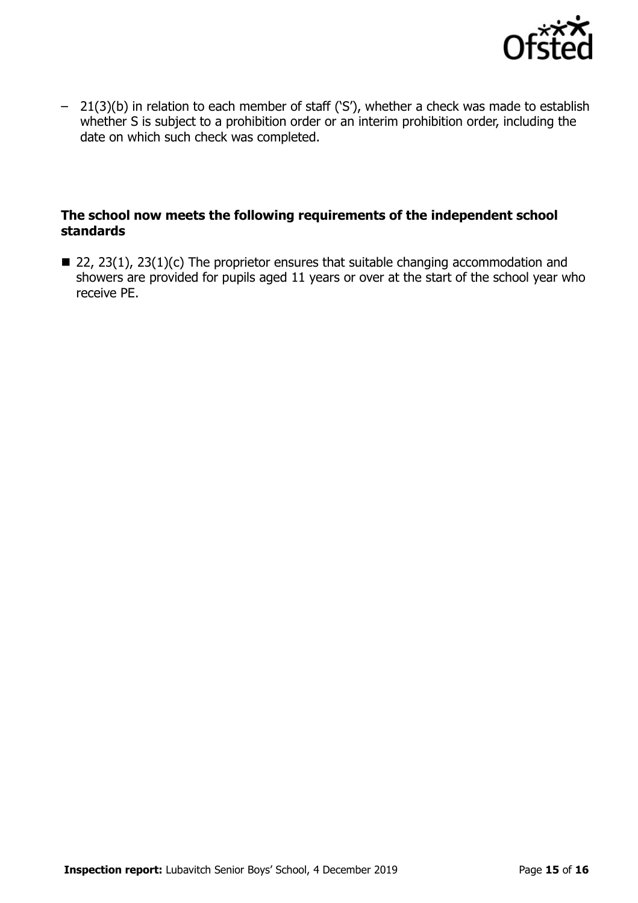

– 21(3)(b) in relation to each member of staff ('S'), whether a check was made to establish whether S is subject to a prohibition order or an interim prohibition order, including the date on which such check was completed.

# **The school now meets the following requirements of the independent school standards**

 $\blacksquare$  22, 23(1), 23(1)(c) The proprietor ensures that suitable changing accommodation and showers are provided for pupils aged 11 years or over at the start of the school year who receive PE.